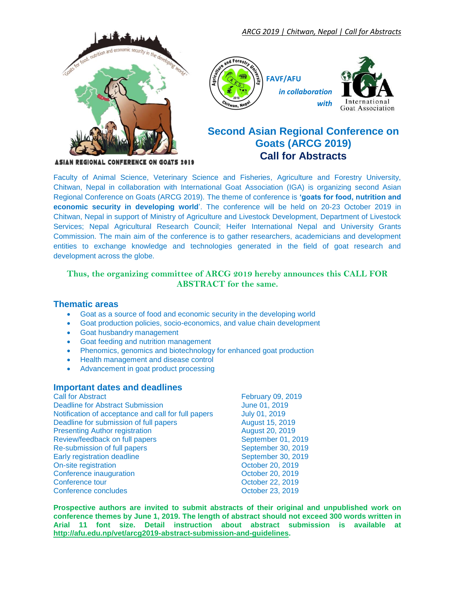



# **Second Asian Regional Conference on Goats (ARCG 2019) Call for Abstracts**

**ASIAN REGIONAL CONFERENCE ON GOATS 2019** 

Faculty of Animal Science, Veterinary Science and Fisheries, Agriculture and Forestry University, Chitwan, Nepal in collaboration with International Goat Association (IGA) is organizing second Asian Regional Conference on Goats (ARCG 2019). The theme of conference is **'goats for food, nutrition and economic security in developing world**'. The conference will be held on 20-23 October 2019 in Chitwan, Nepal in support of Ministry of Agriculture and Livestock Development, Department of Livestock Services; Nepal Agricultural Research Council; Heifer International Nepal and University Grants Commission. The main aim of the conference is to gather researchers, academicians and development entities to exchange knowledge and technologies generated in the field of goat research and development across the globe.

## **Thus, the organizing committee of ARCG 2019 hereby announces this CALL FOR ABSTRACT for the same.**

### **Thematic areas**

- Goat as a source of food and economic security in the developing world
- Goat production policies, socio-economics, and value chain development
- **•** Goat husbandry management
- Goat feeding and nutrition management
- Phenomics, genomics and biotechnology for enhanced goat production
- Health management and disease control
- Advancement in goat product processing

### **Important dates and deadlines**

**Call for Abstract Call for Abstract Call for Abstract Call for Abstract Call for Abstract Call for Abstract Call February 09, 2019** Deadline for Abstract Submission June 01, 2019<br>Notification of acceptance and call for full papers July 01. 2019 Notification of acceptance and call for full papers Deadline for submission of full papers Theorem August 15, 2019 **Presenting Author registration** August 20, 2019 Review/feedback on full papers September 01, 2019 Re-submission of full papers September 30, 2019 Early registration deadline September 30, 2019 On-site registration **October 20, 2019** Conference inauguration Conference inauguration Conference in and December 20, 2019 Conference tour Conference tour Conference concludes Conference Conference Conference Conference Conference Conference Conference Conference Conference Conference Conference Conference Conference Conference Conference Conf Conference concludes

**Prospective authors are invited to submit abstracts of their original and unpublished work on conference themes by June 1, 2019. The length of abstract should not exceed 300 words written in Arial 11 font size. Detail instruction about abstract submission is available at [http://afu.edu.np/vet/arcg2019-abstract-submission-and-guidelines.](http://afu.edu.np/vet/arcg2019-abstract-submission-and-guidelines)**